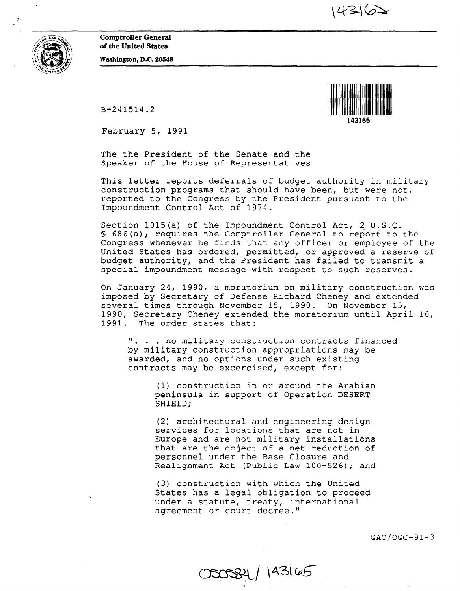$14362$ 

Comptroller General of the United States



Washington, D.C. 20648

B-241514.2



143165

February 5, 1991

The the President of the Senate and the Speaker of the House of Representatives

This letter reports deferrals of budget authority in military construction programs that should have been, but were not, reported to the Congress by the President pursuant to the Impoundment Control Act of 1974.

Section 1015(a) of the Impoundment Control Act, 2 U.S.C. 5 686(a), requires the Comptroller General to report to the Congress whenever he finds that any officer or employee of the United States has ordered, permitted, or approved a reserve of budget authority, and the President has failed to transmit a special impoundment message with respect to such reserves.

On January 24, 1990, a moratorium on military construction was imposed by Secretary of Defense Richard Cheney and extended several times through November 15, 1990. On November 15, 1990, Secretary Cheney extended the moratorium until April 16, 1991. The order states that:

". . . no military construction contracts finance by military construction appropriations may be awarded, and no options under such existing contracts may be excercised, except for:

(1) construction in or around the Arabian peninsula in support of Operation DESERT SHIELD;

(2) architectural and engineering design services for locations that are not in Europe and are not military installations that are the object of a net reduction of personnel under the Base Closure and Realignment Act (Public Law 100-526); and

(3) construction with which the United States has a legal obligation to proceed under a statute, treaty, international agreement or court decree."

000084 / 143165

 $GAO/OGC-91-3$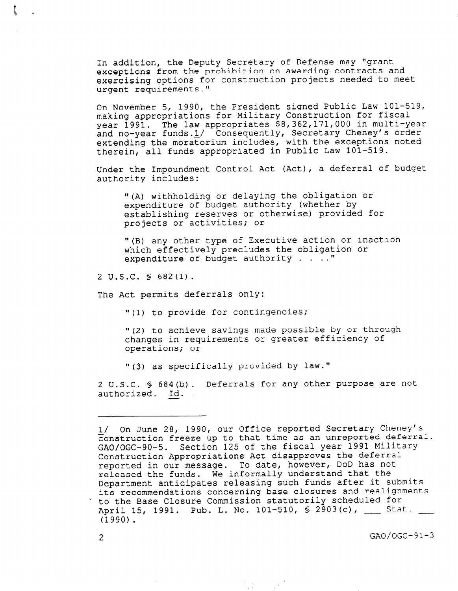In addition, the Deputy Secretary of Defense may "grant exceptions from the prohibition on awarding contracts and exercising options for construction projects needed to meet urgent requirements."

On November 5, 1990, the President signed Public Law 101-519, making appropriations for Military Construction for fiscal year 1991. The law appropriates \$8,362,171,000 in multi-year and no-year funds.l/ Consequently, Secretary Cheney's order extending the moratorium includes, with the exceptions noted therein, all funds appropriated in Public Law 101-519.

Under the Impoundment Control Act (Act), a deferral of budget authority includes:

"(A) withholding or delaying the obligation or expenditure of budget authority (whether by establishing reserves or otherwise) provided for projects or activities; or

"(B) any other type of Executive action or inaction which effectively precludes the obligation or expenditure of budget authority  $\ldots$ ."

2 U.S.C. § 682(l).

The Act permits deferrals only:

"(1) to provide for contingencies;

"(2) to achieve savings made possible by or through changes in requirements or greater efficiency of operations; or

"(3) as specifically provided by law."

2 U.S.C. § 684(b). Deferrals for any other purpose are not authorized. Id.

 $\mathcal{L}_{\mathcal{A}}(\mathcal{G})$  and  $\mathcal{L}_{\mathcal{A}}(\mathcal{G})$ 

l/ On June 28, 1990, our Office reported Secretary Cheney's construction freeze up to that time as an unreported deferral. GAO/OGC-90-5. Section 125 of the fiscal year 1991 Military Construction Appropriations Act disapproves the deferral reported in our message. To date, however, DOD has not released the funds. We informally understand that the Department anticipates releasing such funds after it submits its recommendations concerning base closures and realignments to the Base Closure Commission statutorily scheduled for April 15, 1991. Pub. L. No. 101-510, \$ 2903(c), Stat. (1990).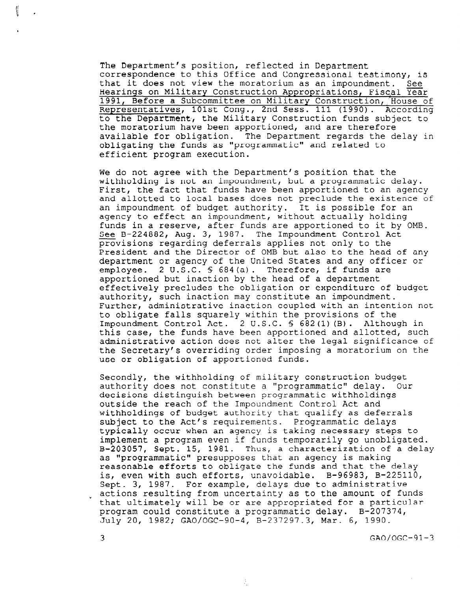The Department's position, reflected in Department correspondence to this Office and Congressional testimony, is that it does not view the moratorium as an impoundment. See Hearings on Military Construction Appropriations, Fiscal Year 1991, Before a Subcommittee on Military Construction, House of esentatives, 101st Cong., 2nd Sess. 111 (1990). According he Department, the Military Construction funds subject to the moratorium have been apportioned, and are therefore available for obligation. The Department regards the delay in obligating the funds as "programmatic" and related to efficient program execution.

We do not agree with the Department's position that the withholding is not an impoundment, but a programmatic delay. First, the fact that funds have been apportioned to an agency and allotted to local bases does not preclude the existence of an impoundment of budget authority. It is possible for an agency to effect an impoundment, without actually holding funds in a reserve, after funds are apportioned to it by OMB. See B-224882, Aug. 3, 1987. The Impoundment Control Act provisions regarding deferrals applies not only to the President and the Director of OMB but also to the head of any department or agency of the United States and any officer or employee. 2 U.S.C. § 684(a). Therefore, if funds are apportioned but inaction by the head of a department effectively precludes the obligation or expenditure of budget authority, such inaction may constitute an impoundment. Further, administrative inaction coupled with an intention not to obligate falls squarely within the provisions of the Impoundment Control Act. 2 U.S.C. § 682(l) (B). Although in this case, the funds have been apportioned and allotted, such administrative action does not alter the legal significance of the Secretary's overriding order imposing a moratorium on the use or obligation of apportioned funds.

Secondly, the withholding of military construction budget authority does not constitute a "programmatic" delay. Our decisions distinguish between programmatic withholdings outside the reach of the Impoundment Control Act and withholdings of budget authority that qualify as deferrals subject to the Act's requirements. Programmatic delays typically occur when an agency is taking necessary steps to implement a program even if funds temporarily go unobligated. B-203057, Sept. 15, 1981. Thus, a characterization of a delay as "programmatic" presupposes that an agency is making reasonable efforts to obligate the funds and that the delay is, even with such efforts, unavoidable. B-96983, B-225110, Sept. 3, 1987. For example, delays due to administrative actions resulting from uncertainty as to the amount of funds that ultimately will be or are appropriated for a particular program could constitute a programmatic delay. B-207374, July 20, 1982; GAO/OGC-90-4, B-237297.3, Mar. 6, 1990.

 $3 \text{ GAO}/\text{OGC}-91-3$